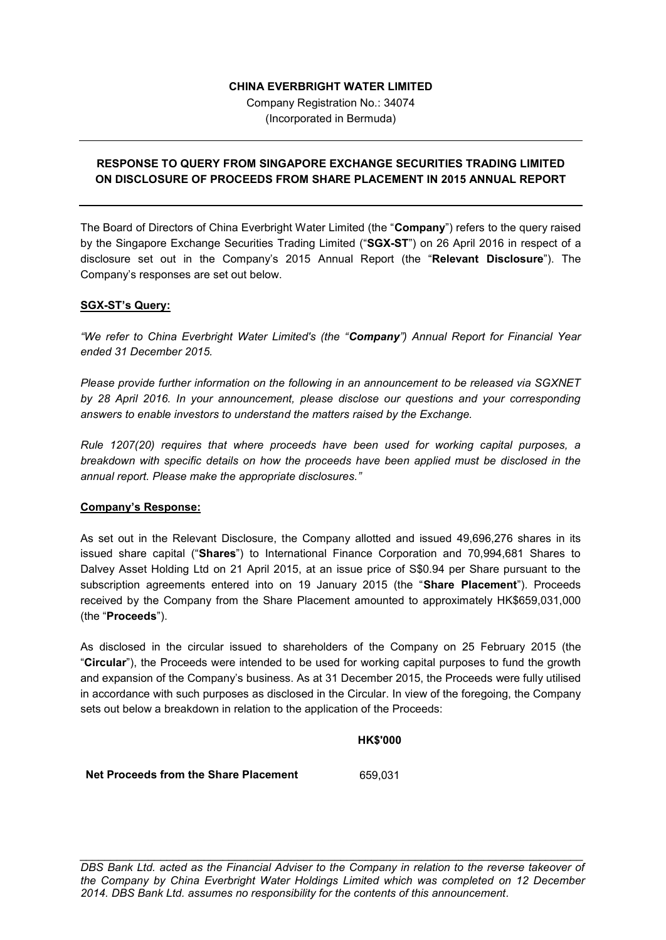### **CHINA EVERBRIGHT WATER LIMITED**

Company Registration No.: 34074 (Incorporated in Bermuda)

# **RESPONSE TO QUERY FROM SINGAPORE EXCHANGE SECURITIES TRADING LIMITED ON DISCLOSURE OF PROCEEDS FROM SHARE PLACEMENT IN 2015 ANNUAL REPORT**

The Board of Directors of China Everbright Water Limited (the "**Company**") refers to the query raised by the Singapore Exchange Securities Trading Limited ("**SGX-ST**") on 26 April 2016 in respect of a disclosure set out in the Company's 2015 Annual Report (the "**Relevant Disclosure**"). The Company's responses are set out below.

### **SGX-ST's Query:**

*"We refer to China Everbright Water Limited's (the "Company") Annual Report for Financial Year ended 31 December 2015.*

*Please provide further information on the following in an announcement to be released via SGXNET by 28 April 2016. In your announcement, please disclose our questions and your corresponding answers to enable investors to understand the matters raised by the Exchange.*

*Rule 1207(20) requires that where proceeds have been used for working capital purposes, a breakdown with specific details on how the proceeds have been applied must be disclosed in the annual report. Please make the appropriate disclosures."*

# **Company's Response:**

As set out in the Relevant Disclosure, the Company allotted and issued 49,696,276 shares in its issued share capital ("**Shares**") to International Finance Corporation and 70,994,681 Shares to Dalvey Asset Holding Ltd on 21 April 2015, at an issue price of S\$0.94 per Share pursuant to the subscription agreements entered into on 19 January 2015 (the "**Share Placement**"). Proceeds received by the Company from the Share Placement amounted to approximately HK\$659,031,000 (the "**Proceeds**").

As disclosed in the circular issued to shareholders of the Company on 25 February 2015 (the "**Circular**"), the Proceeds were intended to be used for working capital purposes to fund the growth and expansion of the Company's business. As at 31 December 2015, the Proceeds were fully utilised in accordance with such purposes as disclosed in the Circular. In view of the foregoing, the Company sets out below a breakdown in relation to the application of the Proceeds:

### **HK\$'000**

**Net Proceeds from the Share Placement** 659,031

*\_\_\_\_\_\_\_\_\_\_\_\_\_\_\_\_\_\_\_\_\_\_\_\_\_\_\_\_\_\_\_\_\_\_\_\_\_\_\_\_\_\_\_\_\_\_\_\_\_\_\_\_\_\_\_\_\_\_\_\_\_\_\_\_\_\_\_\_\_\_\_\_\_\_\_\_\_\_\_\_\_ DBS Bank Ltd. acted as the Financial Adviser to the Company in relation to the reverse takeover of the Company by China Everbright Water Holdings Limited which was completed on 12 December 2014. DBS Bank Ltd. assumes no responsibility for the contents of this announcement.*